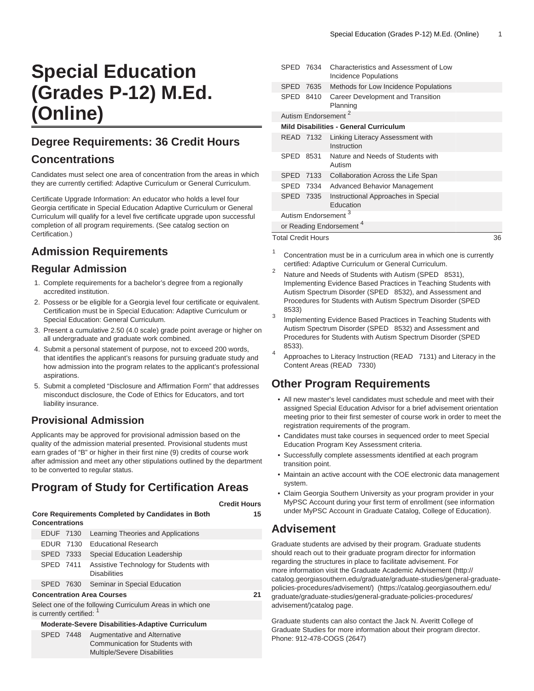# **Special Education (Grades P-12) M.Ed. (Online)**

## **Degree Requirements: 36 Credit Hours**

## **Concentrations**

Candidates must select one area of concentration from the areas in which they are currently certified: Adaptive Curriculum or General Curriculum.

Certificate Upgrade Information: An educator who holds a level four Georgia certificate in Special Education Adaptive Curriculum or General Curriculum will qualify for a level five certificate upgrade upon successful completion of all program requirements. (See catalog section on Certification.)

# **Admission Requirements**

#### **Regular Admission**

- 1. Complete requirements for a bachelor's degree from a regionally accredited institution.
- 2. Possess or be eligible for a Georgia level four certificate or equivalent. Certification must be in Special Education: Adaptive Curriculum or Special Education: General Curriculum.
- 3. Present a cumulative 2.50 (4.0 scale) grade point average or higher on all undergraduate and graduate work combined.
- 4. Submit a personal statement of purpose, not to exceed 200 words, that identifies the applicant's reasons for pursuing graduate study and how admission into the program relates to the applicant's professional aspirations.
- 5. Submit a completed "Disclosure and Affirmation Form" that addresses misconduct disclosure, the Code of Ethics for Educators, and tort liability insurance.

## **Provisional Admission**

Applicants may be approved for provisional admission based on the quality of the admission material presented. Provisional students must earn grades of "B" or higher in their first nine (9) credits of course work after admission and meet any other stipulations outlined by the department to be converted to regular status.

# **Program of Study for Certification Areas**

|                                                                                        |                                                         |    |                                                                                                 | <b>Credit Hours</b> |  |  |  |
|----------------------------------------------------------------------------------------|---------------------------------------------------------|----|-------------------------------------------------------------------------------------------------|---------------------|--|--|--|
| Core Requirements Completed by Candidates in Both<br><b>Concentrations</b>             |                                                         |    |                                                                                                 |                     |  |  |  |
|                                                                                        | <b>EDUF 7130</b>                                        |    | Learning Theories and Applications                                                              |                     |  |  |  |
|                                                                                        | EDUR 7130                                               |    | <b>Educational Research</b>                                                                     |                     |  |  |  |
|                                                                                        | SPED 7333                                               |    | Special Education Leadership                                                                    |                     |  |  |  |
|                                                                                        | SPED 7411                                               |    | Assistive Technology for Students with<br><b>Disabilities</b>                                   |                     |  |  |  |
|                                                                                        | SPED 7630                                               |    | Seminar in Special Education                                                                    |                     |  |  |  |
|                                                                                        | <b>Concentration Area Courses</b>                       | 21 |                                                                                                 |                     |  |  |  |
| Select one of the following Curriculum Areas in which one<br>is currently certified: 1 |                                                         |    |                                                                                                 |                     |  |  |  |
|                                                                                        | <b>Moderate-Severe Disabilities-Adaptive Curriculum</b> |    |                                                                                                 |                     |  |  |  |
|                                                                                        | SPED 7448                                               |    | Augmentative and Alternative<br>Communication for Students with<br>Multiple/Severe Disabilities |                     |  |  |  |

| SPED 7634                                     |           | <b>Characteristics and Assessment of Low</b><br>Incidence Populations |  |  |  |  |
|-----------------------------------------------|-----------|-----------------------------------------------------------------------|--|--|--|--|
| SPED 7635                                     |           | Methods for Low Incidence Populations                                 |  |  |  |  |
| SPED                                          | 8410      | Career Development and Transition<br>Planning                         |  |  |  |  |
| Autism Endorsement <sup>2</sup>               |           |                                                                       |  |  |  |  |
| <b>Mild Disabilities - General Curriculum</b> |           |                                                                       |  |  |  |  |
|                                               | READ 7132 | Linking Literacy Assessment with<br>Instruction                       |  |  |  |  |
| <b>SPED</b>                                   | 8531      | Nature and Needs of Students with<br>Autism                           |  |  |  |  |
| SPED 7133                                     |           | Collaboration Across the Life Span                                    |  |  |  |  |
| SPED 7334                                     |           | <b>Advanced Behavior Management</b>                                   |  |  |  |  |
| SPED 7335                                     |           | Instructional Approaches in Special<br>Education                      |  |  |  |  |
| Autism Endorsement <sup>3</sup>               |           |                                                                       |  |  |  |  |
| or Reading Endorsement <sup>4</sup>           |           |                                                                       |  |  |  |  |
| <b>Total Credit Hours</b>                     |           |                                                                       |  |  |  |  |

1 Concentration must be in a curriculum area in which one is currently certified: Adaptive Curriculum or General Curriculum.

- 2 Nature and Needs of Students with Autism (SPED 8531), Implementing Evidence Based Practices in Teaching Students with Autism Spectrum Disorder (SPED 8532), and Assessment and Procedures for Students with Autism Spectrum Disorder (SPED 8533)
- 3 Implementing Evidence Based Practices in Teaching Students with Autism Spectrum Disorder (SPED 8532) and Assessment and Procedures for Students with Autism Spectrum Disorder (SPED 8533).
- 4 Approaches to Literacy Instruction (READ 7131) and Literacy in the Content Areas (READ 7330)

# **Other Program Requirements**

- All new master's level candidates must schedule and meet with their assigned Special Education Advisor for a brief advisement orientation meeting prior to their first semester of course work in order to meet the registration requirements of the program.
- Candidates must take courses in sequenced order to meet Special Education Program Key Assessment criteria.
- Successfully complete assessments identified at each program transition point.
- Maintain an active account with the COE electronic data management system.
- Claim Georgia Southern University as your program provider in your MyPSC Account during your first term of enrollment (see information under MyPSC Account in Graduate Catalog, College of Education).

## **Advisement**

Graduate students are advised by their program. Graduate students should reach out to their graduate program director for information regarding the structures in place to facilitate advisement. For more information visit the [Graduate Academic Advisement](http://catalog.georgiasouthern.edu/graduate/graduate-studies/general-graduate-policies-procedures/advisement/) ([http://](http://catalog.georgiasouthern.edu/graduate/graduate-studies/general-graduate-policies-procedures/advisement/) [catalog.georgiasouthern.edu/graduate/graduate-studies/general-graduate](http://catalog.georgiasouthern.edu/graduate/graduate-studies/general-graduate-policies-procedures/advisement/)[policies-procedures/advisement/](http://catalog.georgiasouthern.edu/graduate/graduate-studies/general-graduate-policies-procedures/advisement/))([https://catalog.georgiasouthern.edu/](https://catalog.georgiasouthern.edu/graduate/graduate-studies/general-graduate-policies-procedures/advisement/) [graduate/graduate-studies/general-graduate-policies-procedures/](https://catalog.georgiasouthern.edu/graduate/graduate-studies/general-graduate-policies-procedures/advisement/) [advisement/\)](https://catalog.georgiasouthern.edu/graduate/graduate-studies/general-graduate-policies-procedures/advisement/)catalog page.

Graduate students can also contact the Jack N. Averitt College of Graduate Studies for more information about their program director. Phone: 912-478-COGS (2647)